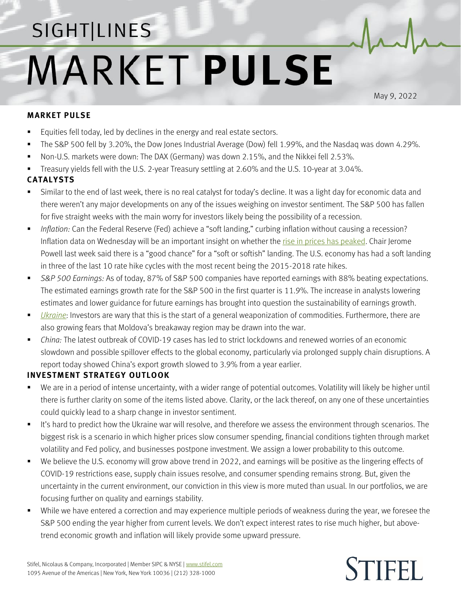## SIGHT LINES **MARKET PULSE**

May 9, 2022

## **MARKET PULSE**

- Equities fell today, led by declines in the energy and real estate sectors.
- The S&P 500 fell by 3.20%, the Dow Jones Industrial Average (Dow) fell 1.99%, and the Nasdaq was down 4.29%.
- Non-U.S. markets were down: The DAX (Germany) was down 2.15%, and the Nikkei fell 2.53%.
- Treasury yields fell with the U.S. 2-year Treasury settling at 2.60% and the U.S. 10-year at 3.04%.

## **CATALYSTS**

- Similar to the end of last week, there is no real catalyst for today's decline. It was a light day for economic data and there weren't any major developments on any of the issues weighing on investor sentiment. The S&P 500 has fallen for five straight weeks with the main worry for investors likely being the possibility of a recession.
- *Inflation:* Can the Federal Reserve (Fed) achieve a "soft landing," curbing inflation without causing a recession? Inflation data on Wednesday will be an important insight on whether th[e rise in prices has peaked.](https://www.stifel.com/Newsletters/AdGraphics/InSight/Sightlines/2022/SL042222.pdf) Chair Jerome Powell last week said there is a "good chance" for a "soft or softish" landing. The U.S. economy has had a soft landing in three of the last 10 rate hike cycles with the most recent being the 2015-2018 rate hikes.
- *S&P 500 Earnings:* As of today, 87% of S&P 500 companies have reported earnings with 88% beating expectations. The estimated earnings growth rate for the S&P 500 in the first quarter is 11.9%. The increase in analysts lowering estimates and lower guidance for future earnings has brought into question the sustainability of earnings growth.
- *[Ukraine](https://www.stifel.com/newsletters/AdGraphics/InSight/Major-Themes/MT.html)*: Investors are wary that this is the start of a general weaponization of commodities. Furthermore, there are also growing fears that Moldova's breakaway region may be drawn into the war.
- *China:* The latest outbreak of COVID-19 cases has led to strict lockdowns and renewed worries of an economic slowdown and possible spillover effects to the global economy, particularly via prolonged supply chain disruptions. A report today showed China's export growth slowed to 3.9% from a year earlier.

## **INVESTMENT STRATEGY OUTLOOK**

- We are in a period of intense uncertainty, with a wider range of potential outcomes. Volatility will likely be higher until there is further clarity on some of the items listed above. Clarity, or the lack thereof, on any one of these uncertainties could quickly lead to a sharp change in investor sentiment.
- It's hard to predict how the Ukraine war will resolve, and therefore we assess the environment through scenarios. The biggest risk is a scenario in which higher prices slow consumer spending, financial conditions tighten through market volatility and Fed policy, and businesses postpone investment. We assign a lower probability to this outcome.
- We believe the U.S. economy will grow above trend in 2022, and earnings will be positive as the lingering effects of COVID-19 restrictions ease, supply chain issues resolve, and consumer spending remains strong. But, given the uncertainty in the current environment, our conviction in this view is more muted than usual. In our portfolios, we are focusing further on quality and earnings stability.
- While we have entered a correction and may experience multiple periods of weakness during the year, we foresee the S&P 500 ending the year higher from current levels. We don't expect interest rates to rise much higher, but abovetrend economic growth and inflation will likely provide some upward pressure.